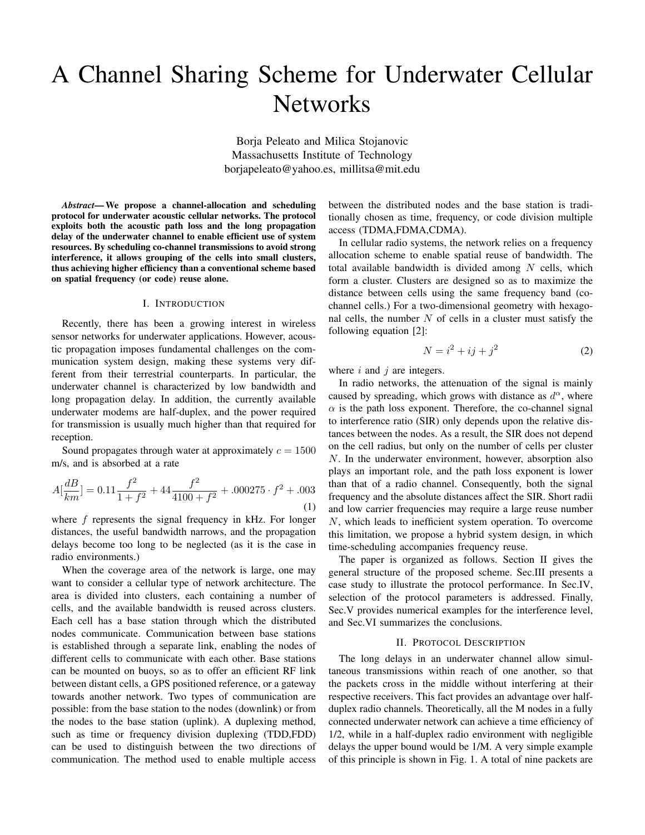# A Channel Sharing Scheme for Underwater Cellular **Networks**

Borja Peleato and Milica Stojanovic Massachusetts Institute of Technology borjapeleato@yahoo.es, millitsa@mit.edu

*Abstract*— We propose a channel-allocation and scheduling protocol for underwater acoustic cellular networks. The protocol exploits both the acoustic path loss and the long propagation delay of the underwater channel to enable efficient use of system resources. By scheduling co-channel transmissions to avoid strong interference, it allows grouping of the cells into small clusters, thus achieving higher efficiency than a conventional scheme based on spatial frequency (or code) reuse alone.

#### I. INTRODUCTION

Recently, there has been a growing interest in wireless sensor networks for underwater applications. However, acoustic propagation imposes fundamental challenges on the communication system design, making these systems very different from their terrestrial counterparts. In particular, the underwater channel is characterized by low bandwidth and long propagation delay. In addition, the currently available underwater modems are half-duplex, and the power required for transmission is usually much higher than that required for reception.

Sound propagates through water at approximately  $c = 1500$ m/s, and is absorbed at a rate

$$
A[\frac{dB}{km}] = 0.11 \frac{f^2}{1+f^2} + 44 \frac{f^2}{4100+f^2} + .000275 \cdot f^2 + .003
$$
\n(1)

where  $f$  represents the signal frequency in kHz. For longer distances, the useful bandwidth narrows, and the propagation delays become too long to be neglected (as it is the case in radio environments.)

When the coverage area of the network is large, one may want to consider a cellular type of network architecture. The area is divided into clusters, each containing a number of cells, and the available bandwidth is reused across clusters. Each cell has a base station through which the distributed nodes communicate. Communication between base stations is established through a separate link, enabling the nodes of different cells to communicate with each other. Base stations can be mounted on buoys, so as to offer an efficient RF link between distant cells, a GPS positioned reference, or a gateway towards another network. Two types of communication are possible: from the base station to the nodes (downlink) or from the nodes to the base station (uplink). A duplexing method, such as time or frequency division duplexing (TDD,FDD) can be used to distinguish between the two directions of communication. The method used to enable multiple access

between the distributed nodes and the base station is traditionally chosen as time, frequency, or code division multiple access (TDMA,FDMA,CDMA).

In cellular radio systems, the network relies on a frequency allocation scheme to enable spatial reuse of bandwidth. The total available bandwidth is divided among  $N$  cells, which form a cluster. Clusters are designed so as to maximize the distance between cells using the same frequency band (cochannel cells.) For a two-dimensional geometry with hexagonal cells, the number  $N$  of cells in a cluster must satisfy the following equation [2]:

$$
N = i^2 + ij + j^2 \tag{2}
$$

where  $i$  and  $j$  are integers.

In radio networks, the attenuation of the signal is mainly caused by spreading, which grows with distance as  $d^{\alpha}$ , where  $\alpha$  is the path loss exponent. Therefore, the co-channel signal to interference ratio (SIR) only depends upon the relative distances between the nodes. As a result, the SIR does not depend on the cell radius, but only on the number of cells per cluster N. In the underwater environment, however, absorption also plays an important role, and the path loss exponent is lower than that of a radio channel. Consequently, both the signal frequency and the absolute distances affect the SIR. Short radii and low carrier frequencies may require a large reuse number N, which leads to inefficient system operation. To overcome this limitation, we propose a hybrid system design, in which time-scheduling accompanies frequency reuse.

The paper is organized as follows. Section II gives the general structure of the proposed scheme. Sec.III presents a case study to illustrate the protocol performance. In Sec.IV, selection of the protocol parameters is addressed. Finally, Sec.V provides numerical examples for the interference level, and Sec.VI summarizes the conclusions.

## II. PROTOCOL DESCRIPTION

The long delays in an underwater channel allow simultaneous transmissions within reach of one another, so that the packets cross in the middle without interfering at their respective receivers. This fact provides an advantage over halfduplex radio channels. Theoretically, all the M nodes in a fully connected underwater network can achieve a time efficiency of 1/2, while in a half-duplex radio environment with negligible delays the upper bound would be 1/M. A very simple example of this principle is shown in Fig. 1. A total of nine packets are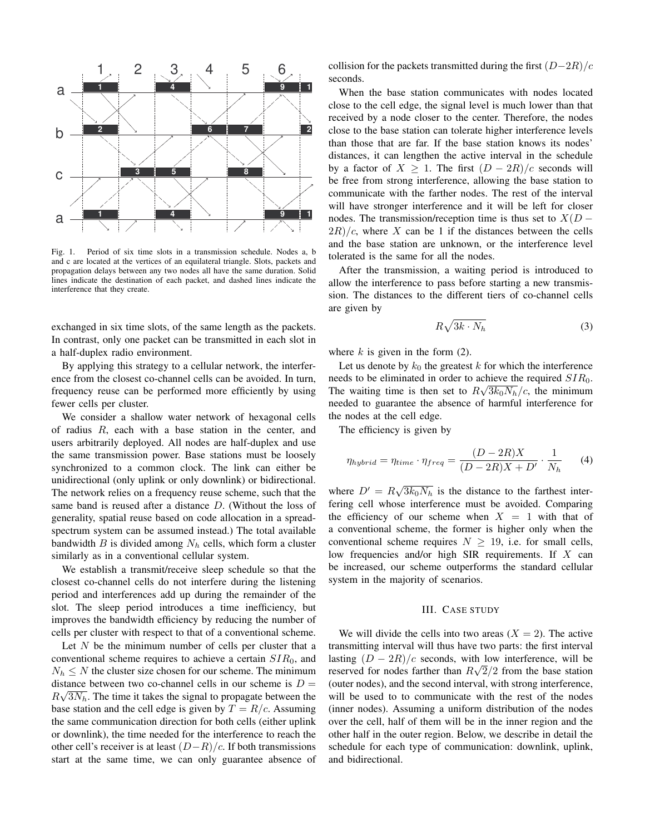

Fig. 1. Period of six time slots in a transmission schedule. Nodes a, b and c are located at the vertices of an equilateral triangle. Slots, packets and propagation delays between any two nodes all have the same duration. Solid lines indicate the destination of each packet, and dashed lines indicate the interference that they create.

exchanged in six time slots, of the same length as the packets. In contrast, only one packet can be transmitted in each slot in a half-duplex radio environment.

By applying this strategy to a cellular network, the interference from the closest co-channel cells can be avoided. In turn, frequency reuse can be performed more efficiently by using fewer cells per cluster.

We consider a shallow water network of hexagonal cells of radius  $R$ , each with a base station in the center, and users arbitrarily deployed. All nodes are half-duplex and use the same transmission power. Base stations must be loosely synchronized to a common clock. The link can either be unidirectional (only uplink or only downlink) or bidirectional. The network relies on a frequency reuse scheme, such that the same band is reused after a distance D. (Without the loss of generality, spatial reuse based on code allocation in a spreadspectrum system can be assumed instead.) The total available bandwidth B is divided among  $N_h$  cells, which form a cluster similarly as in a conventional cellular system.

We establish a transmit/receive sleep schedule so that the closest co-channel cells do not interfere during the listening period and interferences add up during the remainder of the slot. The sleep period introduces a time inefficiency, but improves the bandwidth efficiency by reducing the number of cells per cluster with respect to that of a conventional scheme.

Let  $N$  be the minimum number of cells per cluster that a conventional scheme requires to achieve a certain  $SIR_0$ , and  $N_h \leq N$  the cluster size chosen for our scheme. The minimum distance between two co-channel cells in our scheme is  $D = \sqrt{N}$  $R\sqrt{3N_h}$ . The time it takes the signal to propagate between the base station and the cell edge is given by  $T = R/c$ . Assuming the same communication direction for both cells (either uplink or downlink), the time needed for the interference to reach the other cell's receiver is at least  $(D-R)/c$ . If both transmissions start at the same time, we can only guarantee absence of collision for the packets transmitted during the first  $(D-2R)/c$ seconds.

When the base station communicates with nodes located close to the cell edge, the signal level is much lower than that received by a node closer to the center. Therefore, the nodes close to the base station can tolerate higher interference levels than those that are far. If the base station knows its nodes' distances, it can lengthen the active interval in the schedule by a factor of  $X \geq 1$ . The first  $(D - 2R)/c$  seconds will be free from strong interference, allowing the base station to communicate with the farther nodes. The rest of the interval will have stronger interference and it will be left for closer nodes. The transmission/reception time is thus set to  $X(D 2R)/c$ , where X can be 1 if the distances between the cells and the base station are unknown, or the interference level tolerated is the same for all the nodes.

After the transmission, a waiting period is introduced to allow the interference to pass before starting a new transmission. The distances to the different tiers of co-channel cells are given by p

$$
R\sqrt{3k} \cdot N_h \tag{3}
$$

where  $k$  is given in the form  $(2)$ .

Let us denote by  $k_0$  the greatest k for which the interference needs to be eliminated in order to achieve the required  $SIR_0$ . The waiting time is then set to  $R\sqrt{3k_0N_h}/c$ , the minimum needed to guarantee the absence of harmful interference for the nodes at the cell edge.

The efficiency is given by

$$
\eta_{hybrid} = \eta_{time} \cdot \eta_{freq} = \frac{(D - 2R)X}{(D - 2R)X + D'} \cdot \frac{1}{N_h} \tag{4}
$$

where  $D' = R\sqrt{3k_0N_h}$  is the distance to the farthest interfering cell whose interference must be avoided. Comparing the efficiency of our scheme when  $X = 1$  with that of a conventional scheme, the former is higher only when the conventional scheme requires  $N \geq 19$ , i.e. for small cells, low frequencies and/or high SIR requirements. If  $X$  can be increased, our scheme outperforms the standard cellular system in the majority of scenarios.

## III. CASE STUDY

We will divide the cells into two areas  $(X = 2)$ . The active transmitting interval will thus have two parts: the first interval lasting  $(D - 2R)/c$  seconds, with low interference, will be reserved for nodes farther than  $R\sqrt{2}/2$  from the base station (outer nodes), and the second interval, with strong interference, will be used to to communicate with the rest of the nodes (inner nodes). Assuming a uniform distribution of the nodes over the cell, half of them will be in the inner region and the other half in the outer region. Below, we describe in detail the schedule for each type of communication: downlink, uplink, and bidirectional.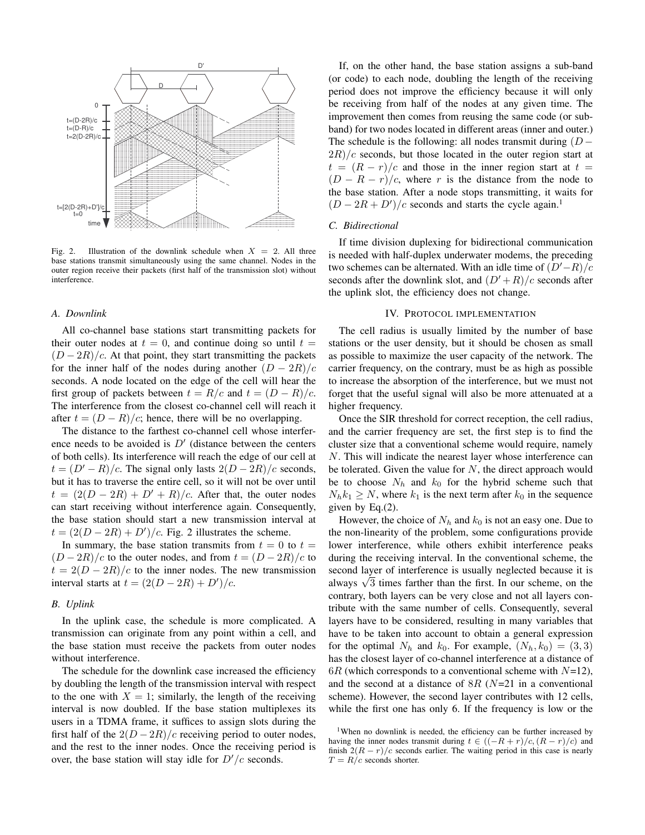

Fig. 2. Illustration of the downlink schedule when  $X = 2$ . All three base stations transmit simultaneously using the same channel. Nodes in the outer region receive their packets (first half of the transmission slot) without interference.

#### *A. Downlink*

All co-channel base stations start transmitting packets for their outer nodes at  $t = 0$ , and continue doing so until  $t =$  $(D-2R)/c$ . At that point, they start transmitting the packets for the inner half of the nodes during another  $(D - 2R)/c$ seconds. A node located on the edge of the cell will hear the first group of packets between  $t = R/c$  and  $t = (D - R)/c$ . The interference from the closest co-channel cell will reach it after  $t = (D - R)/c$ ; hence, there will be no overlapping.

The distance to the farthest co-channel cell whose interference needs to be avoided is  $D'$  (distance between the centers of both cells). Its interference will reach the edge of our cell at  $t = (D' - R)/c$ . The signal only lasts  $2(D - 2R)/c$  seconds, but it has to traverse the entire cell, so it will not be over until  $t = (2(D - 2R) + D' + R)/c$ . After that, the outer nodes can start receiving without interference again. Consequently, the base station should start a new transmission interval at  $t = (2(D - 2R) + D')/c$ . Fig. 2 illustrates the scheme.

In summary, the base station transmits from  $t = 0$  to  $t =$  $(D-2R)/c$  to the outer nodes, and from  $t = (D-2R)/c$  to  $t = 2(D - 2R)/c$  to the inner nodes. The new transmission interval starts at  $t = (2(D - 2R) + D')/c$ .

## *B. Uplink*

In the uplink case, the schedule is more complicated. A transmission can originate from any point within a cell, and the base station must receive the packets from outer nodes without interference.

The schedule for the downlink case increased the efficiency by doubling the length of the transmission interval with respect to the one with  $X = 1$ ; similarly, the length of the receiving interval is now doubled. If the base station multiplexes its users in a TDMA frame, it suffices to assign slots during the first half of the  $2(D - 2R)/c$  receiving period to outer nodes, and the rest to the inner nodes. Once the receiving period is over, the base station will stay idle for  $D'/c$  seconds.

If, on the other hand, the base station assigns a sub-band (or code) to each node, doubling the length of the receiving period does not improve the efficiency because it will only be receiving from half of the nodes at any given time. The improvement then comes from reusing the same code (or subband) for two nodes located in different areas (inner and outer.) The schedule is the following: all nodes transmit during  $(D 2R/c$  seconds, but those located in the outer region start at  $t = (R - r)/c$  and those in the inner region start at  $t =$  $(D - R - r)/c$ , where r is the distance from the node to the base station. After a node stops transmitting, it waits for  $(D - 2R + D')/c$  seconds and starts the cycle again.<sup>1</sup>

## *C. Bidirectional*

If time division duplexing for bidirectional communication is needed with half-duplex underwater modems, the preceding two schemes can be alternated. With an idle time of  $(D'-R)/c$ seconds after the downlink slot, and  $(D' + R)/c$  seconds after the uplink slot, the efficiency does not change.

### IV. PROTOCOL IMPLEMENTATION

The cell radius is usually limited by the number of base stations or the user density, but it should be chosen as small as possible to maximize the user capacity of the network. The carrier frequency, on the contrary, must be as high as possible to increase the absorption of the interference, but we must not forget that the useful signal will also be more attenuated at a higher frequency.

Once the SIR threshold for correct reception, the cell radius, and the carrier frequency are set, the first step is to find the cluster size that a conventional scheme would require, namely N. This will indicate the nearest layer whose interference can be tolerated. Given the value for  $N$ , the direct approach would be to choose  $N_h$  and  $k_0$  for the hybrid scheme such that  $N_h k_1 \geq N$ , where  $k_1$  is the next term after  $k_0$  in the sequence given by Eq.(2).

However, the choice of  $N_h$  and  $k_0$  is not an easy one. Due to the non-linearity of the problem, some configurations provide lower interference, while others exhibit interference peaks during the receiving interval. In the conventional scheme, the second layer of interference is usually neglected because it is second layer of interference is usually neglected because it is always  $\sqrt{3}$  times farther than the first. In our scheme, on the contrary, both layers can be very close and not all layers contribute with the same number of cells. Consequently, several layers have to be considered, resulting in many variables that have to be taken into account to obtain a general expression for the optimal  $N_h$  and  $k_0$ . For example,  $(N_h, k_0) = (3, 3)$ has the closest layer of co-channel interference at a distance of  $6R$  (which corresponds to a conventional scheme with  $N=12$ ), and the second at a distance of  $8R$  ( $N=21$  in a conventional scheme). However, the second layer contributes with 12 cells, while the first one has only 6. If the frequency is low or the

<sup>&</sup>lt;sup>1</sup>When no downlink is needed, the efficiency can be further increased by having the inner nodes transmit during  $t \in ((-R + r)/c, (R - r)/c)$  and finish  $2(R - r)/c$  seconds earlier. The waiting period in this case is nearly  $T = R/c$  seconds shorter.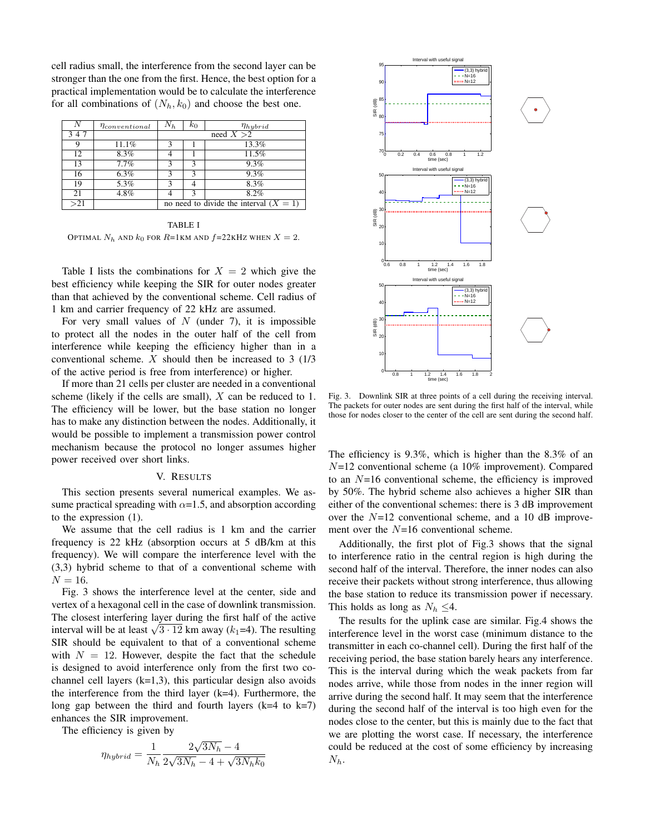cell radius small, the interference from the second layer can be stronger than the one from the first. Hence, the best option for a practical implementation would be to calculate the interference for all combinations of  $(N_h, k_0)$  and choose the best one.

|     | $\eta_{conventional}$ | $N_h$                                    | $k_0$ | $\eta_{hybrid}$ |
|-----|-----------------------|------------------------------------------|-------|-----------------|
| 347 |                       | need $X > 2$                             |       |                 |
|     | 11.1%                 |                                          |       | 13.3%           |
| 12  | 8.3%                  |                                          |       | 11.5%           |
| 13  | 7.7%                  |                                          |       | 9.3%            |
| 16  | 6.3%                  |                                          |       | 9.3%            |
| 19  | 5.3%                  |                                          |       | 8.3%            |
| 21  | 4.8%                  |                                          |       | 8.2%            |
| >21 |                       | no need to divide the interval $(X = 1)$ |       |                 |

TABLE I OPTIMAL  $N_h$  and  $k_0$  for  $R=1$ km and  $f=22$ kHz when  $X=2$ .

Table I lists the combinations for  $X = 2$  which give the best efficiency while keeping the SIR for outer nodes greater than that achieved by the conventional scheme. Cell radius of 1 km and carrier frequency of 22 kHz are assumed.

For very small values of  $N$  (under 7), it is impossible to protect all the nodes in the outer half of the cell from interference while keeping the efficiency higher than in a conventional scheme. X should then be increased to 3 (1/3 of the active period is free from interference) or higher.

If more than 21 cells per cluster are needed in a conventional scheme (likely if the cells are small),  $X$  can be reduced to 1. The efficiency will be lower, but the base station no longer has to make any distinction between the nodes. Additionally, it would be possible to implement a transmission power control mechanism because the protocol no longer assumes higher power received over short links.

### V. RESULTS

This section presents several numerical examples. We assume practical spreading with  $\alpha$ =1.5, and absorption according to the expression (1).

We assume that the cell radius is 1 km and the carrier frequency is 22 kHz (absorption occurs at 5 dB/km at this frequency). We will compare the interference level with the (3,3) hybrid scheme to that of a conventional scheme with  $N = 16$ .

Fig. 3 shows the interference level at the center, side and vertex of a hexagonal cell in the case of downlink transmission. The closest interfering layer during the first half of the active The closest interfering layer during the first hair of the active<br>interval will be at least  $\sqrt{3 \cdot 12}$  km away ( $k_1$ =4). The resulting SIR should be equivalent to that of a conventional scheme with  $N = 12$ . However, despite the fact that the schedule is designed to avoid interference only from the first two cochannel cell layers  $(k=1,3)$ , this particular design also avoids the interference from the third layer (k=4). Furthermore, the long gap between the third and fourth layers  $(k=4$  to  $k=7)$ enhances the SIR improvement.

The efficiency is given by

$$
\eta_{hybrid} = \frac{1}{N_h} \frac{2\sqrt{3N_h} - 4}{2\sqrt{3N_h} - 4 + \sqrt{3N_hk_0}}
$$



Fig. 3. Downlink SIR at three points of a cell during the receiving interval. The packets for outer nodes are sent during the first half of the interval, while those for nodes closer to the center of the cell are sent during the second half.

The efficiency is 9.3%, which is higher than the 8.3% of an  $N=12$  conventional scheme (a 10% improvement). Compared to an  $N=16$  conventional scheme, the efficiency is improved by 50%. The hybrid scheme also achieves a higher SIR than either of the conventional schemes: there is 3 dB improvement over the  $N=12$  conventional scheme, and a 10 dB improvement over the  $N=16$  conventional scheme.

Additionally, the first plot of Fig.3 shows that the signal to interference ratio in the central region is high during the second half of the interval. Therefore, the inner nodes can also receive their packets without strong interference, thus allowing the base station to reduce its transmission power if necessary. This holds as long as  $N_h \leq 4$ .

The results for the uplink case are similar. Fig.4 shows the interference level in the worst case (minimum distance to the transmitter in each co-channel cell). During the first half of the receiving period, the base station barely hears any interference. This is the interval during which the weak packets from far nodes arrive, while those from nodes in the inner region will arrive during the second half. It may seem that the interference during the second half of the interval is too high even for the nodes close to the center, but this is mainly due to the fact that we are plotting the worst case. If necessary, the interference could be reduced at the cost of some efficiency by increasing  $N_h$ .